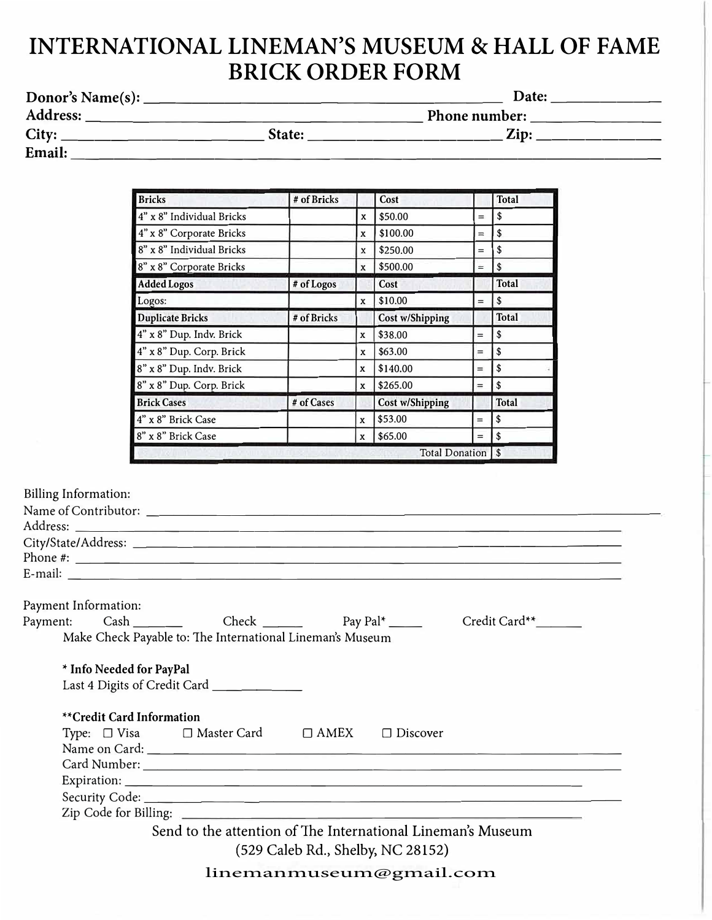## **INTERNATIONAL LINEMAN'S MUSEUM & HALL OF FAME BRICK ORDER FORM**

| Donor's Name(s): |        | Date:         |  |
|------------------|--------|---------------|--|
| Address:         |        | Phone number: |  |
| City:            | State: | Zip:          |  |
| Email:           |        |               |  |

| <b>Bricks</b>             | # of Bricks |             | Cost                   |     | <b>Total</b>   |
|---------------------------|-------------|-------------|------------------------|-----|----------------|
| 4" x 8" Individual Bricks |             | X           | \$50.00                | $=$ | \$             |
| 4" x 8" Corporate Bricks  |             | X           | \$100.00               | $=$ | \$             |
| 8" x 8" Individual Bricks |             | X           | \$250.00               | $=$ | \$             |
| 8" x 8" Corporate Bricks  |             | $\mathbf x$ | \$500.00               | $=$ | \$             |
| <b>Added Logos</b>        | # of Logos  |             | Cost                   |     | <b>Total</b>   |
| Logos:                    |             | X           | \$10.00                | $=$ |                |
| <b>Duplicate Bricks</b>   | # of Bricks |             | <b>Cost w/Shipping</b> |     | <b>Total</b>   |
| 4" x 8" Dup. Indv. Brick  |             | X           | \$38.00                | $=$ | \$             |
| 4" x 8" Dup. Corp. Brick  |             | X           | \$63.00                | $=$ | \$             |
| 8" x 8" Dup. Indv. Brick  |             | X           | \$140.00               | $=$ | \$             |
| 8" x 8" Dup. Corp. Brick  |             | $\mathbf x$ | \$265.00               | $=$ | \$             |
| <b>Brick Cases</b>        | # of Cases  |             | <b>Cost w/Shipping</b> |     | <b>Total</b>   |
| 4" x 8" Brick Case        |             | X           | \$53.00                | $=$ | \$             |
| 8" x 8" Brick Case        |             | X           | \$65.00                | $=$ | l \$           |
|                           |             |             | <b>Total Donation</b>  |     | $\overline{1}$ |

Billing Information:

|                           |                                                             |                                   | Phone #:                                                                                                                                                                                                                             |  |
|---------------------------|-------------------------------------------------------------|-----------------------------------|--------------------------------------------------------------------------------------------------------------------------------------------------------------------------------------------------------------------------------------|--|
|                           |                                                             |                                   | E-mail: <u>Alexander Contract Contract Contract Contract Contract Contract Contract Contract Contract Contract Contract Contract Contract Contract Contract Contract Contract Contract Contract Contract Contract Contract Contr</u> |  |
| Payment Information:      |                                                             |                                   |                                                                                                                                                                                                                                      |  |
|                           | Payment: Cash Cash Check Pay Pal <sup>*</sup>               |                                   | Credit Card**_______                                                                                                                                                                                                                 |  |
|                           | Make Check Payable to: The International Lineman's Museum   |                                   |                                                                                                                                                                                                                                      |  |
| * Info Needed for PayPal  |                                                             |                                   |                                                                                                                                                                                                                                      |  |
|                           | Last 4 Digits of Credit Card ____________                   |                                   |                                                                                                                                                                                                                                      |  |
| **Credit Card Information |                                                             |                                   |                                                                                                                                                                                                                                      |  |
|                           | Type: □ Visa □ Master Card □ AMEX □ Discover                |                                   |                                                                                                                                                                                                                                      |  |
|                           |                                                             |                                   |                                                                                                                                                                                                                                      |  |
|                           |                                                             |                                   |                                                                                                                                                                                                                                      |  |
|                           |                                                             |                                   |                                                                                                                                                                                                                                      |  |
|                           |                                                             |                                   |                                                                                                                                                                                                                                      |  |
|                           |                                                             |                                   |                                                                                                                                                                                                                                      |  |
|                           | Send to the attention of The International Lineman's Museum |                                   |                                                                                                                                                                                                                                      |  |
|                           |                                                             | (529 Caleb Rd., Shelby, NC 28152) |                                                                                                                                                                                                                                      |  |
|                           |                                                             |                                   |                                                                                                                                                                                                                                      |  |

linemanmuseum@gmail.com